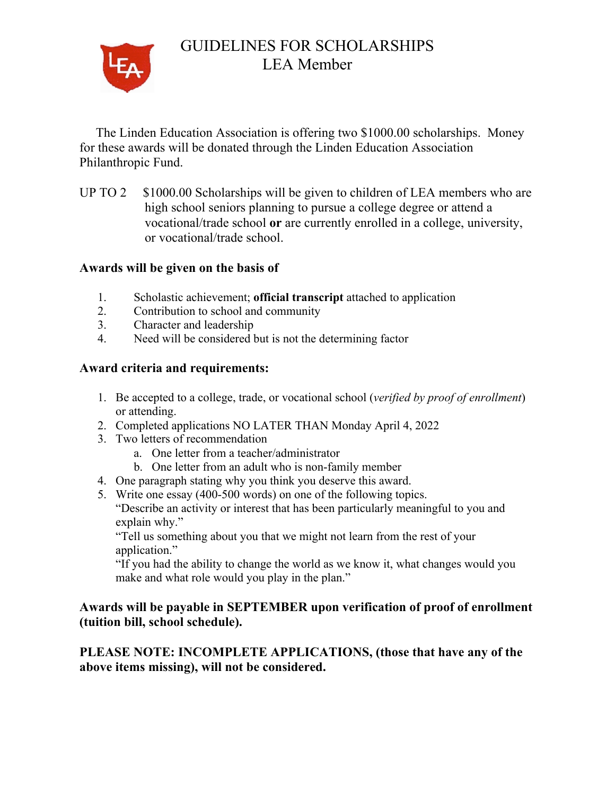

# GUIDELINES FOR SCHOLARSHIPS LEA Member

 The Linden Education Association is offering two \$1000.00 scholarships. Money for these awards will be donated through the Linden Education Association Philanthropic Fund.

UP TO 2 \$1000.00 Scholarships will be given to children of LEA members who are high school seniors planning to pursue a college degree or attend a vocational/trade school **or** are currently enrolled in a college, university, or vocational/trade school.

#### **Awards will be given on the basis of**

- 1. Scholastic achievement; **official transcript** attached to application
- 2. Contribution to school and community
- 3. Character and leadership
- 4. Need will be considered but is not the determining factor

#### **Award criteria and requirements:**

- 1. Be accepted to a college, trade, or vocational school (*verified by proof of enrollment*) or attending.
- 2. Completed applications NO LATER THAN Monday April 4, 2022
- 3. Two letters of recommendation
	- a. One letter from a teacher/administrator
	- b. One letter from an adult who is non-family member
- 4. One paragraph stating why you think you deserve this award.
- 5. Write one essay (400-500 words) on one of the following topics.

"Describe an activity or interest that has been particularly meaningful to you and explain why."

"Tell us something about you that we might not learn from the rest of your application."

"If you had the ability to change the world as we know it, what changes would you make and what role would you play in the plan."

#### **Awards will be payable in SEPTEMBER upon verification of proof of enrollment (tuition bill, school schedule).**

### **PLEASE NOTE: INCOMPLETE APPLICATIONS, (those that have any of the above items missing), will not be considered.**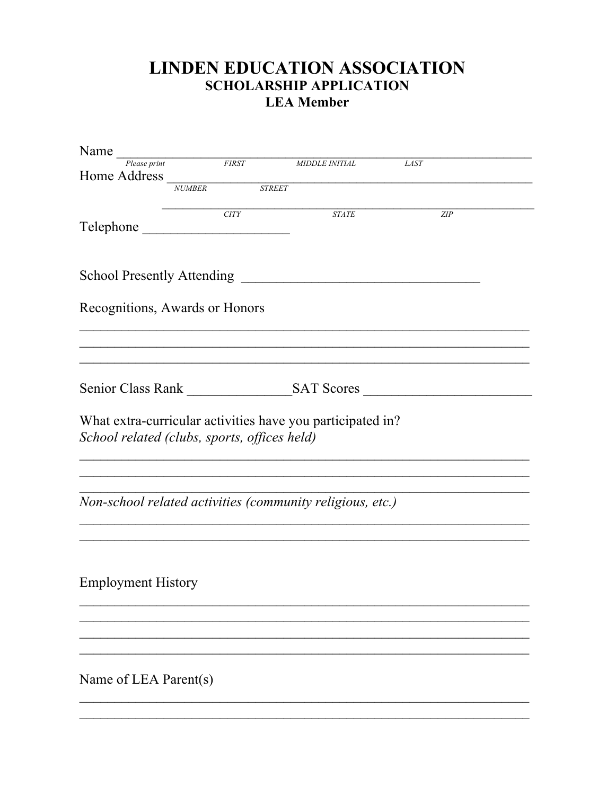## **LINDEN EDUCATION ASSOCIATION SCHOLARSHIP APPLICATION LEA Member**

| Name $\frac{P_{\text{Dense print}}}{P_{\text{Dense print}}}$                                               |               |      |                    |                       |             |     |
|------------------------------------------------------------------------------------------------------------|---------------|------|--------------------|-----------------------|-------------|-----|
| Home Address                                                                                               |               |      |                    | <i>MIDDLE INITIAL</i> | <b>LAST</b> |     |
|                                                                                                            | <b>NUMBER</b> |      | $\overline{STREF}$ |                       |             |     |
| Telephone                                                                                                  |               | CITY |                    | $STATE$               |             | ZIP |
| School Presently Attending                                                                                 |               |      |                    |                       |             |     |
| Recognitions, Awards or Honors                                                                             |               |      |                    |                       |             |     |
|                                                                                                            |               |      |                    |                       |             |     |
|                                                                                                            |               |      |                    |                       |             |     |
| What extra-curricular activities have you participated in?<br>School related (clubs, sports, offices held) |               |      |                    |                       |             |     |
| Non-school related activities (community religious, etc.)                                                  |               |      |                    |                       |             |     |
| <b>Employment History</b>                                                                                  |               |      |                    |                       |             |     |
| Name of LEA Parent(s)                                                                                      |               |      |                    |                       |             |     |